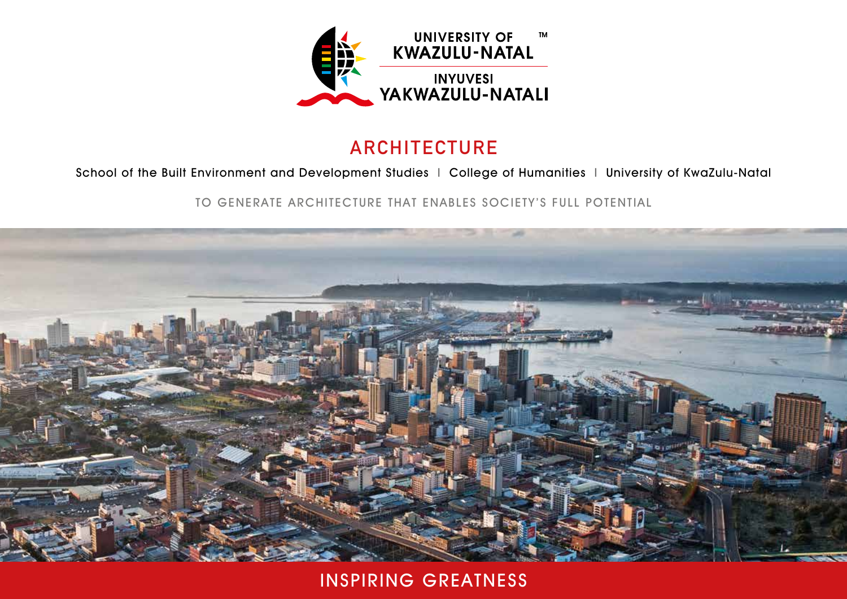

### **ARCHITECTURE**

#### School of the Built Environment and Development Studies | College of Humanities | University of KwaZulu-Natal

TO GENERATE ARCHITECTURE THAT ENABLES SOCIETY'S FULL POTENTIAL



INSPIRING GREATNESS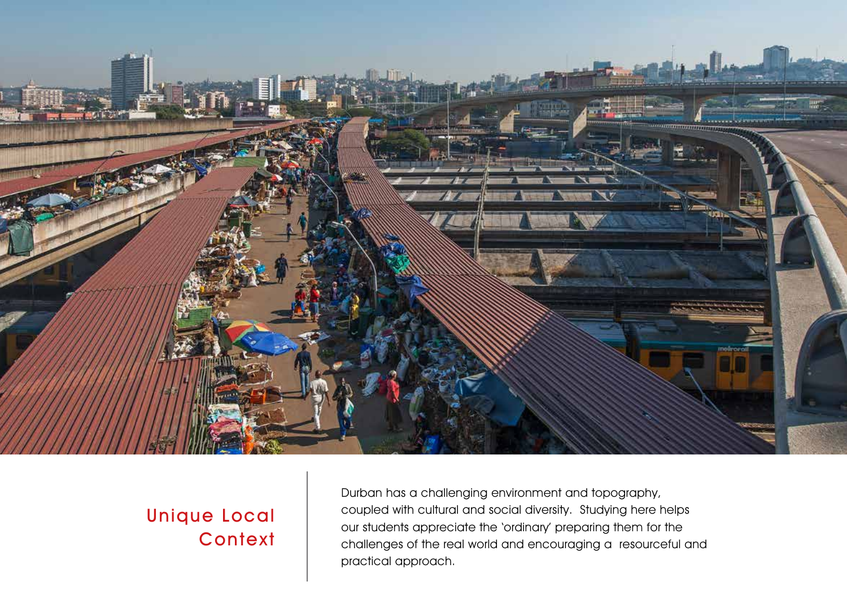

# Unique Local **Context**

Durban has a challenging environment and topography, coupled with cultural and social diversity. Studying here helps our students appreciate the 'ordinary' preparing them for the challenges of the real world and encouraging a resourceful and practical approach.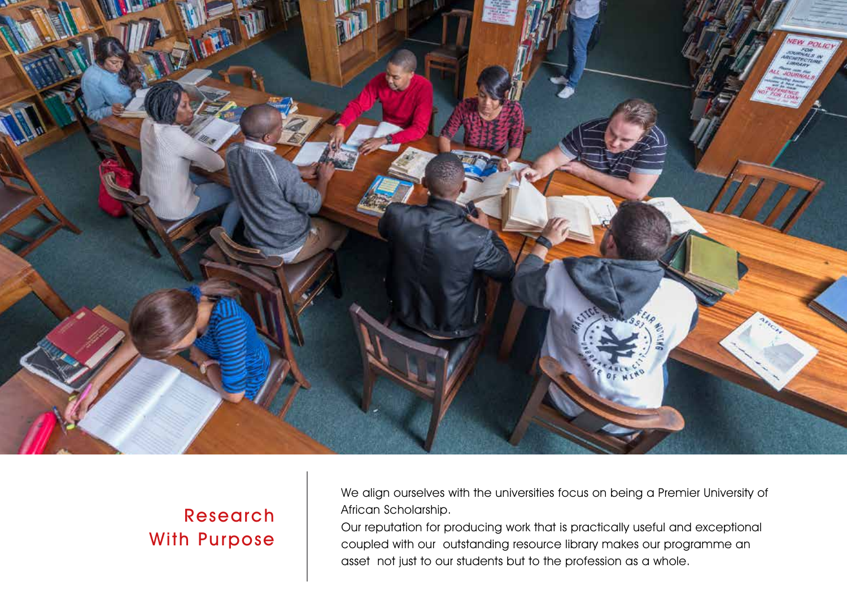

# Research With Purpose

We align ourselves with the universities focus on being a Premier University of African Scholarship.

Our reputation for producing work that is practically useful and exceptional coupled with our outstanding resource library makes our programme an asset not just to our students but to the profession as a whole.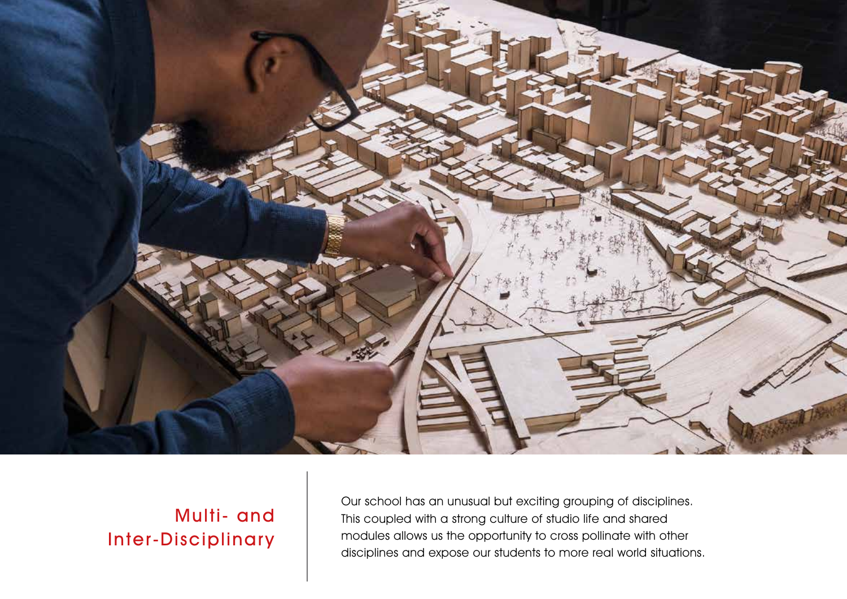

# Multi- and Inter-Disciplinary

Our school has an unusual but exciting grouping of disciplines. This coupled with a strong culture of studio life and shared modules allows us the opportunity to cross pollinate with other disciplines and expose our students to more real world situations.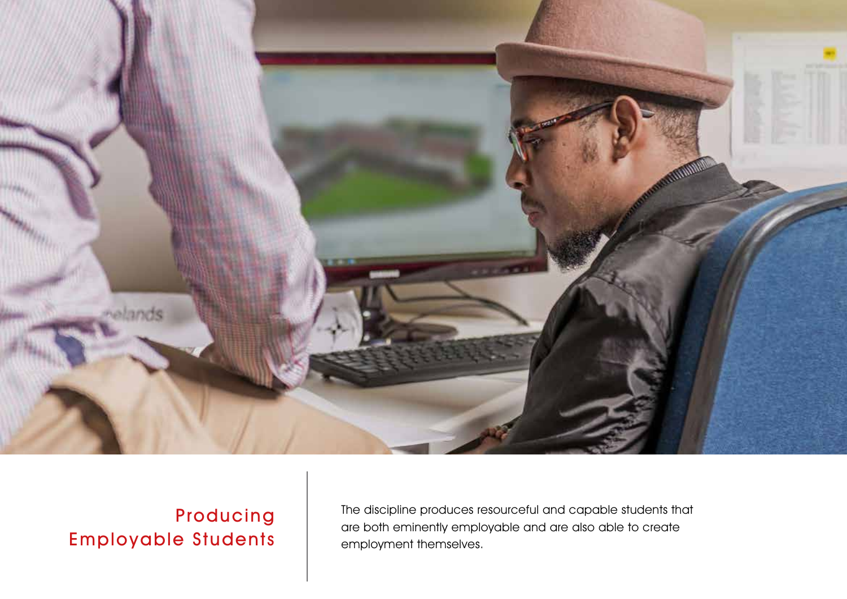

# Producing Employable Students

The discipline produces resourceful and capable students that are both eminently employable and are also able to create employment themselves.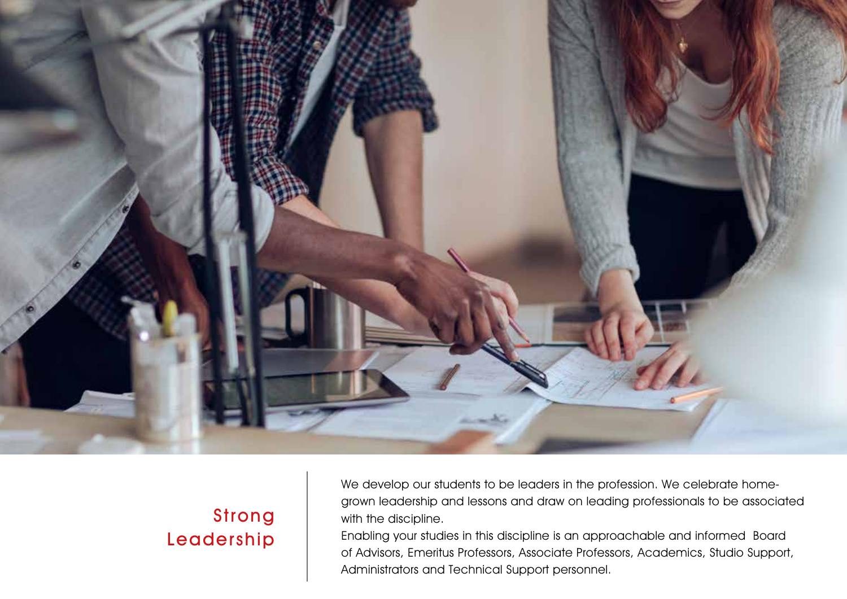

# Strong Leadership

We develop our students to be leaders in the profession. We celebrate homegrown leadership and lessons and draw on leading professionals to be associated with the discipline.

Enabling your studies in this discipline is an approachable and informed Board of Advisors, Emeritus Professors, Associate Professors, Academics, Studio Support, Administrators and Technical Support personnel.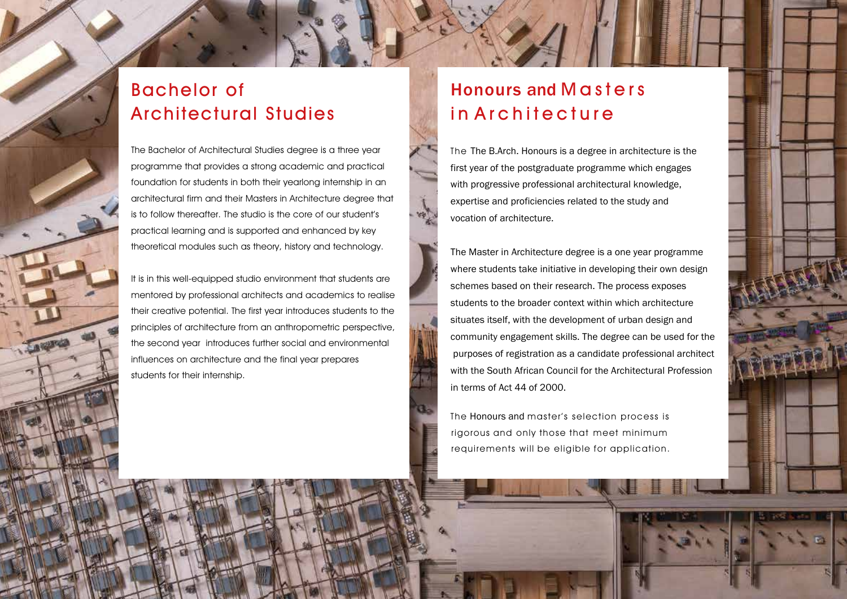### Bachelor of Architectural Studies

The Bachelor of Architectural Studies degree is a three year programme that provides a strong academic and practical foundation for students in both their yearlong internship in an architectural firm and their Masters in Architecture degree that is to follow thereafter. The studio is the core of our student's practical learning and is supported and enhanced by key theoretical modules such as theory, history and technology.

It is in this well-equipped studio environment that students are mentored by professional architects and academics to realise their creative potential. The first year introduces students to the principles of architecture from an anthropometric perspective, the second year introduces further social and environmental influences on architecture and the final year prepares students for their internship.

#### Honours and Masters in Architecture

w

The The B.Arch. Honours is a degree in architecture is the first year of the postgraduate programme which engages with progressive professional architectural knowledge, expertise and proficiencies related to the study and vocation of architecture.

The Master in Architecture degree is a one year programme where students take initiative in developing their own design schemes based on their research. The process exposes students to the broader context within which architecture situates itself, with the development of urban design and community engagement skills. The degree can be used for the purposes of registration as a candidate professional architect with the South African Council for the Architectural Profession in terms of Act 44 of 2000.

The Honours and master's selection process is rigorous and only those that meet minimum requirements will be eligible for application.